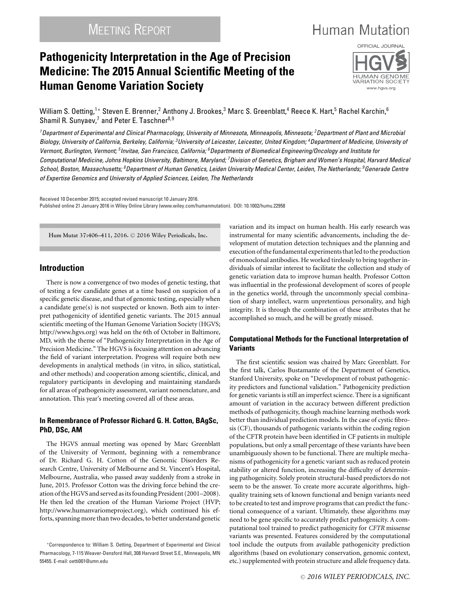# **Human Mutation**

## **Pathogenicity Interpretation in the Age of Precision Medicine: The 2015 Annual Scientific Meeting of the Human Genome Variation Society**



William S. Oetting,<sup>1</sup>\* Steven E. Brenner,<sup>2</sup> Anthony J. Brookes,<sup>3</sup> Marc S. Greenblatt,<sup>4</sup> Reece K. Hart,<sup>5</sup> Rachel Karchin,<sup>6</sup> Shamil R. Sunyaev,<sup>7</sup> and Peter E. Taschner<sup>8,9</sup>

*1Department of Experimental and Clinical Pharmacology, University of Minnesota, Minneapolis, Minnesota; 2Department of Plant and Microbial Biology, University of California, Berkeley, California; 3University of Leicester, Leicester, United Kingdom; 4Department of Medicine, University of Vermont, Burlington, Vermont; 5Invitae, San Francisco, California; 6Departments of Biomedical Engineering/Oncology and Institute for Computational Medicine, Johns Hopkins University, Baltimore, Maryland; 7Division of Genetics, Brigham and Women's Hospital, Harvard Medical School, Boston, Massachusetts; 8Department of Human Genetics, Leiden University Medical Center, Leiden, The Netherlands; 9Generade Centre of Expertise Genomics and University of Applied Sciences, Leiden, The Netherlands*

Received 10 December 2015; accepted revised manuscript 10 January 2016. Published online 21 January 2016 in Wiley Online Library (www.wiley.com/humanmutation). DOI: 10.1002/humu.22958

**Hum Mutat 37:406–411, 2016.** <sup>C</sup> **2016 Wiley Periodicals, Inc.**

### **Introduction**

There is now a convergence of two modes of genetic testing, that of testing a few candidate genes at a time based on suspicion of a specific genetic disease, and that of genomic testing, especially when a candidate gene(s) is not suspected or known. Both aim to interpret pathogenicity of identified genetic variants. The 2015 annual scientific meeting of the Human Genome Variation Society (HGVS; [http://www.hgvs.org\)](http://www.hgvs.org) was held on the 6th of October in Baltimore, MD, with the theme of "Pathogenicity Interpretation in the Age of Precision Medicine." The HGVS is focusing attention on advancing the field of variant interpretation. Progress will require both new developments in analytical methods (in vitro, in silico, statistical, and other methods) and cooperation among scientific, clinical, and regulatory participants in developing and maintaining standards for all areas of pathogenicity assessment, variant nomenclature, and annotation. This year's meeting covered all of these areas.

#### **In Remembrance of Professor Richard G. H. Cotton, BAgSc, PhD, DSc, AM**

The HGVS annual meeting was opened by Marc Greenblatt of the University of Vermont, beginning with a remembrance of Dr. Richard G. H. Cotton of the Genomic Disorders Research Centre, University of Melbourne and St. Vincent's Hospital, Melbourne, Australia, who passed away suddenly from a stroke in June, 2015. Professor Cotton was the driving force behind the creation of the HGVS and served as itsfounding President (2001–2008). He then led the creation of the Human Variome Project (HVP; [http://www.humanvariomeproject.org\)](http://www.humanvariomeproject.org), which continued his efforts, spanning more than two decades, to better understand genetic variation and its impact on human health. His early research was instrumental for many scientific advancements, including the development of mutation detection techniques and the planning and execution of the fundamental experiments that led to the production of monoclonal antibodies. He worked tirelessly to bring together individuals of similar interest to facilitate the collection and study of genetic variation data to improve human health. Professor Cotton was influential in the professional development of scores of people in the genetics world, through the uncommonly special combination of sharp intellect, warm unpretentious personality, and high integrity. It is through the combination of these attributes that he accomplished so much, and he will be greatly missed.

#### **Computational Methods for the Functional Interpretation of Variants**

The first scientific session was chaired by Marc Greenblatt. For the first talk, Carlos Bustamante of the Department of Genetics, Stanford University, spoke on "Development of robust pathogenicity predictors and functional validation." Pathogenicity prediction for genetic variants is still an imperfect science. There is a significant amount of variation in the accuracy between different prediction methods of pathogenicity, though machine learning methods work better than individual prediction models. In the case of cystic fibrosis (CF), thousands of pathogenic variants within the coding region of the CFTR protein have been identified in CF patients in multiple populations, but only a small percentage of these variants have been unambiguously shown to be functional. There are multiple mechanisms of pathogenicity for a genetic variant such as reduced protein stability or altered function, increasing the difficulty of determining pathogenicity. Solely protein structural-based predictors do not seem to be the answer. To create more accurate algorithms, highquality training sets of known functional and benign variants need to be created to test and improve programs that can predict the functional consequence of a variant. Ultimately, these algorithms may need to be gene specific to accurately predict pathogenicity. A computational tool trained to predict pathogenicity for *CFTR* missense variants was presented. Features considered by the computational tool include the outputs from available pathogenicity prediction algorithms (based on evolutionary conservation, genomic context, etc.) supplemented with protein structure and allele frequency data.

<sup>∗</sup>Correspondence to: William S. Oetting, Department of Experimental and Clinical Pharmacology, 7-115 Weaver-Densford Hall, 308 Harvard Street S.E., Minneapolis, MN 55455. E-mail: oetti001@umn.edu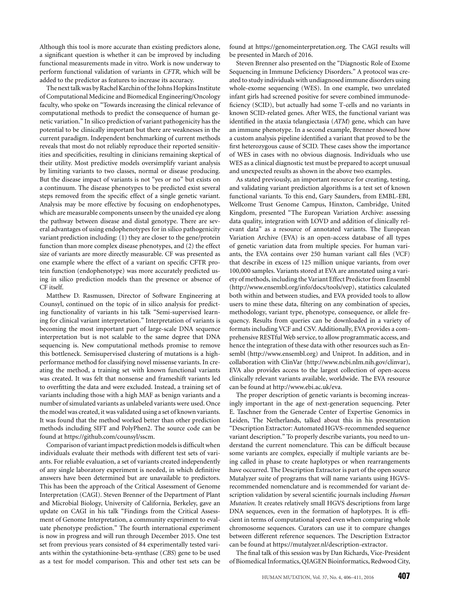Although this tool is more accurate than existing predictors alone, a significant question is whether it can be improved by including functional measurements made in vitro. Work is now underway to perform functional validation of variants in *CFTR*, which will be added to the predictor as features to increase its accuracy.

The next talkwas by Rachel Karchin of the Johns Hopkins Institute of Computational Medicine and Biomedical Engineering/Oncology faculty, who spoke on "Towards increasing the clinical relevance of computational methods to predict the consequence of human genetic variation." In silico prediction of variant pathogenicity has the potential to be clinically important but there are weaknesses in the current paradigm. Independent benchmarking of current methods reveals that most do not reliably reproduce their reported sensitivities and specificities, resulting in clinicians remaining skeptical of their utility. Most predictive models oversimplify variant analysis by limiting variants to two classes, normal or disease producing. But the disease impact of variants is not "yes or no" but exists on a continuum. The disease phenotypes to be predicted exist several steps removed from the specific effect of a single genetic variant. Analysis may be more effective by focusing on endophenotypes, which are measurable components unseen by the unaided eye along the pathway between disease and distal genotype. There are several advantages of using endophenotypes for in silico pathogenicity variant prediction including: (1) they are closer to the gene/protein function than more complex disease phenotypes, and (2) the effect size of variants are more directly measurable. CF was presented as one example where the effect of a variant on specific CFTR protein function (endophenotype) was more accurately predicted using in silico prediction models than the presence or absence of CF itself.

Matthew D. Rasmussen, Director of Software Engineering at Counsyl, continued on the topic of in silico analysis for predicting functionality of variants in his talk "Semi-supervised learning for clinical variant interpretation." Interpretation of variants is becoming the most important part of large-scale DNA sequence interpretation but is not scalable to the same degree that DNA sequencing is. New computational methods promise to remove this bottleneck. Semisupervised clustering of mutations is a highperformance method for classifying novel missense variants. In creating the method, a training set with known functional variants was created. It was felt that nonsense and frameshift variants led to overfitting the data and were excluded. Instead, a training set of variants including those with a high MAF as benign variants and a number of simulated variants as unlabeled variants were used. Once the model was created, it was validated using a set of known variants. It was found that the method worked better than other prediction methods including SIFT and PolyPhen2. The source code can be found at [https://github.com/counsyl/sscm.](https://github.com/counsyl/sscm)

Comparison of variant impact prediction models is difficult when individuals evaluate their methods with different test sets of variants. For reliable evaluation, a set of variants created independently of any single laboratory experiment is needed, in which definitive answers have been determined but are unavailable to predictors. This has been the approach of the Critical Assessment of Genome Interpretation (CAGI). Steven Brenner of the Department of Plant and Microbial Biology, University of California, Berkeley, gave an update on CAGI in his talk "Findings from the Critical Assessment of Genome Interpretation, a community experiment to evaluate phenotype prediction." The fourth international experiment is now in progress and will run through December 2015. One test set from previous years consisted of 84 experimentally tested variants within the cystathionine-beta-synthase (*CBS*) gene to be used as a test for model comparison. This and other test sets can be

found at [https://genomeinterpretation.org.](https://genomeinterpretation.org) The CAGI results will be presented in March of 2016.

Steven Brenner also presented on the "Diagnostic Role of Exome Sequencing in Immune Deficiency Disorders." A protocol was created to study individuals with undiagnosed immune disorders using whole-exome sequencing (WES). In one example, two unrelated infant girls had screened positive for severe combined immunodeficiency (SCID), but actually had some T-cells and no variants in known SCID-related genes. After WES, the functional variant was identified in the ataxia telangiectasia (*ATM*) gene, which can have an immune phenotype. In a second example, Brenner showed how a custom analysis pipeline identified a variant that proved to be the first heterozygous cause of SCID. These cases show the importance of WES in cases with no obvious diagnosis. Individuals who use WES as a clinical diagnostic test must be prepared to accept unusual and unexpected results as shown in the above two examples.

As stated previously, an important resource for creating, testing, and validating variant prediction algorithms is a test set of known functional variants. To this end, Gary Saunders, from EMBL-EBI, Wellcome Trust Genome Campus, Hinxton, Cambridge, United Kingdom, presented "The European Variation Archive: assessing data quality, integration with LOVD and addition of clinically relevant data" as a resource of annotated variants. The European Variation Archive (EVA) is an open-access database of all types of genetic variation data from multiple species. For human variants, the EVA contains over 250 human variant call files (VCF) that describe in excess of 125 million unique variants, from over 100,000 samples. Variants stored at EVA are annotated using a variety of methods, including the Variant Effect Predictor from Ensembl [\(http://www.ensembl.org/info/docs/tools/vep\)](http://www.ensembl.org/info/docs/tools/vep), statistics calculated both within and between studies, and EVA provided tools to allow users to mine these data, filtering on any combination of species, methodology, variant type, phenotype, consequence, or allele frequency. Results from queries can be downloaded in a variety of formats including VCF and CSV. Additionally, EVA provides a comprehensive RESTful Web service, to allow programmatic access, and hence the integration of these data with other resources such as Ensembl [\(http://www.ensembl.org\)](http://www.ensembl.org) and Uniprot. In addition, and in collaboration with ClinVar [\(http://www.ncbi.nlm.nih.gov/clinvar\)](http://www.ncbi.nlm.nih.gov/clinvar), EVA also provides access to the largest collection of open-access clinically relevant variants available, worldwide. The EVA resource can be found at [http://www.ebi.ac.uk/eva.](http://www.ebi.ac.uk/eva)

The proper description of genetic variants is becoming increasingly important in the age of next-generation sequencing. Peter E. Taschner from the Generade Center of Expertise Genomics in Leiden, The Netherlands, talked about this in his presentation "Description Extractor: Automated HGVS-recommended sequence variant description." To properly describe variants, you need to understand the current nomenclature. This can be difficult because some variants are complex, especially if multiple variants are being called in phase to create haplotypes or when rearrangements have occurred. The Description Extractor is part of the open source Mutalyzer suite of programs that will name variants using HGVSrecommended nomenclature and is recommended for variant description validation by several scientific journals including *Human Mutation*. It creates relatively small HGVS descriptions from large DNA sequences, even in the formation of haplotypes. It is efficient in terms of computational speed even when comparing whole chromosome sequences. Curators can use it to compare changes between different reference sequences. The Description Extractor can be found at [https://mutalyzer.nl/description-extractor.](https://mutalyzer.nl/description-extractor)

The final talk of this session was by Dan Richards, Vice-President of Biomedical Informatics, QIAGEN Bioinformatics, Redwood City,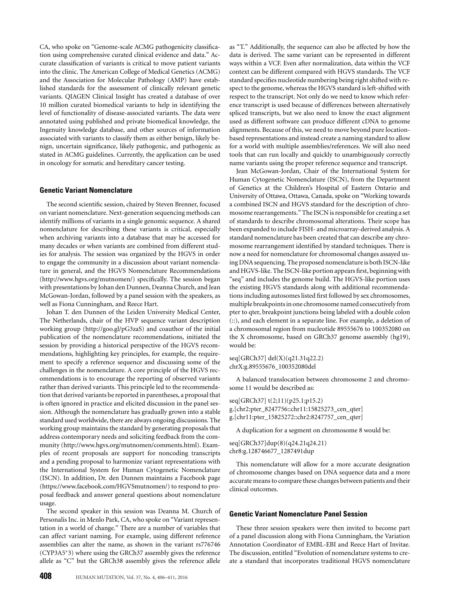CA, who spoke on "Genome-scale ACMG pathogenicity classification using comprehensive curated clinical evidence and data." Accurate classification of variants is critical to move patient variants into the clinic. The American College of Medical Genetics (ACMG) and the Association for Molecular Pathology (AMP) have established standards for the assessment of clinically relevant genetic variants. QIAGEN Clinical Insight has created a database of over 10 million curated biomedical variants to help in identifying the level of functionality of disease-associated variants. The data were annotated using published and private biomedical knowledge, the Ingenuity knowledge database, and other sources of information associated with variants to classify them as either benign, likely benign, uncertain significance, likely pathogenic, and pathogenic as stated in ACMG guidelines. Currently, the application can be used in oncology for somatic and hereditary cancer testing.

#### **Genetic Variant Nomenclature**

The second scientific session, chaired by Steven Brenner, focused on variant nomenclature. Next-generation sequencing methods can identify millions of variants in a single genomic sequence. A shared nomenclature for describing these variants is critical, especially when archiving variants into a database that may be accessed for many decades or when variants are combined from different studies for analysis. The session was organized by the HGVS in order to engage the community in a discussion about variant nomenclature in general, and the HGVS Nomenclature Recommendations [\(http://www.hgvs.org/mutnomen/\)](http://www.hgvs.org/mutnomen/) specifically. The session began with presentations by Johan den Dunnen, Deanna Church, and Jean McGowan-Jordan, followed by a panel session with the speakers, as well as Fiona Cunningham, and Reece Hart.

Johan T. den Dunnen of the Leiden University Medical Center, The Netherlands, chair of the HVP sequence variant description working group [\(http://goo.gl/pG3zaS\)](http://goo.gl/pG3zaS) and coauthor of the initial publication of the nomenclature recommendations, initiated the session by providing a historical perspective of the HGVS recommendations, highlighting key principles, for example, the requirement to specify a reference sequence and discussing some of the challenges in the nomenclature. A core principle of the HGVS recommendations is to encourage the reporting of observed variants rather than derived variants. This principle led to the recommendation that derived variants be reported in parentheses, a proposal that is often ignored in practice and elicited discussion in the panel session. Although the nomenclature has gradually grown into a stable standard used worldwide, there are always ongoing discussions. The working group maintains the standard by generating proposals that address contemporary needs and soliciting feedback from the community [\(http://www.hgvs.org/mutnomen/comments.html\)](http://www.hgvs.org/mutnomen/comments.html). Examples of recent proposals are support for noncoding transcripts and a pending proposal to harmonize variant representations with the International System for Human Cytogenetic Nomenclature (ISCN). In addition, Dr. den Dunnen maintains a Facebook page [\(https://www.facebook.com/HGVSmutnomen/\)](https://www.facebook.com/HGVSmutnomen/) to respond to proposal feedback and answer general questions about nomenclature usage.

The second speaker in this session was Deanna M. Church of Personalis Inc. in Menlo Park, CA, who spoke on "Variant representation in a world of change." There are a number of variables that can affect variant naming. For example, using different reference assemblies can alter the name, as shown in the variant rs776746 (CYP3A5∗3) where using the GRCh37 assembly gives the reference allele as "C" but the GRCh38 assembly gives the reference allele

as "T." Additionally, the sequence can also be affected by how the data is derived. The same variant can be represented in different ways within a VCF. Even after normalization, data within the VCF context can be different compared with HGVS standards. The VCF standard specifies nucleotide numbering being right shifted with respect to the genome, whereas the HGVS standard is left-shifted with respect to the transcript. Not only do we need to know which reference transcript is used because of differences between alternatively spliced transcripts, but we also need to know the exact alignment used as different software can produce different cDNA to genome alignments. Because of this, we need to move beyond pure locationbased representations and instead create a naming standard to allow for a world with multiple assemblies/references. We will also need tools that can run locally and quickly to unambiguously correctly name variants using the proper reference sequence and transcript.

Jean McGowan-Jordan, Chair of the International System for Human Cytogenetic Nomenclature (ISCN), from the Department of Genetics at the Children's Hospital of Eastern Ontario and University of Ottawa, Ottawa, Canada, spoke on "Working towards a combined ISCN and HGVS standard for the description of chromosome rearrangements." The ISCN is responsible for creating a set of standards to describe chromosomal alterations. Their scope has been expanded to include FISH- and microarray-derived analysis. A standard nomenclature has been created that can describe any chromosome rearrangement identified by standard techniques. There is now a need for nomenclature for chromosomal changes assayed using DNA sequencing. The proposed nomenclature is both ISCN-like and HGVS-like. The ISCN-like portion appears first, beginning with "seq" and includes the genome build. The HGVS-like portion uses the existing HGVS standards along with additional recommendations including autosomes listed first followed by sex chromosomes, multiple breakpoints in one chromosome named consecutively from pter to qter, breakpoint junctions being labeled with a double colon (::), and each element in a separate line. For example, a deletion of a chromosomal region from nucleotide 89555676 to 100352080 on the X chromosome, based on GRCh37 genome assembly (hg19), would be:

seq[GRCh37] del(X)(q21.31q22.2) chrX:g.89555676\_100352080del

A balanced translocation between chromosome 2 and chromosome 11 would be described as:

seq[GRCh37] t(2;11)(p25.1;p15.2) g.[chr2:pter\_8247756::chr11:15825273\_cen\_qter] g.[chr11:pter\_15825272::chr2:8247757\_cen\_qter]

A duplication for a segment on chromosome 8 would be:

seq[GRCh37]dup(8)(q24.21q24.21) chr8:g.128746677\_1287491dup

This nomenclature will allow for a more accurate designation of chromosome changes based on DNA sequence data and a more accurate means to compare these changes between patients and their clinical outcomes.

#### **Genetic Variant Nomenclature Panel Session**

These three session speakers were then invited to become part of a panel discussion along with Fiona Cunningham, the Variation Annotation Coordinator of EMBL-EBI and Reece Hart of Invitae. The discussion, entitled "Evolution of nomenclature systems to create a standard that incorporates traditional HGVS nomenclature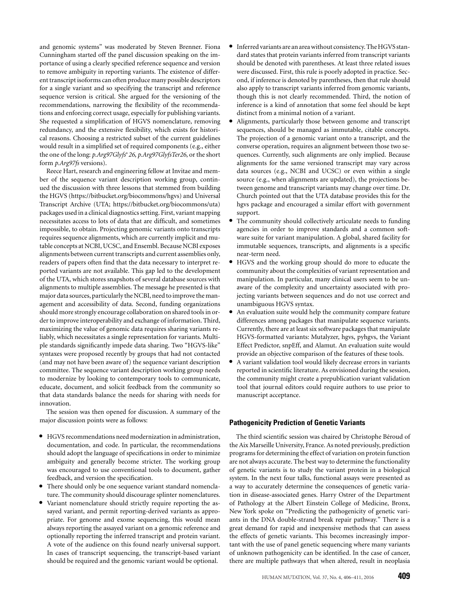and genomic systems" was moderated by Steven Brenner. Fiona Cunningham started off the panel discussion speaking on the importance of using a clearly specified reference sequence and version to remove ambiguity in reporting variants. The existence of different transcript isoforms can often produce many possible descriptors for a single variant and so specifying the transcript and reference sequence version is critical. She argued for the versioning of the recommendations, narrowing the flexibility of the recommendations and enforcing correct usage, especially for publishing variants. She requested a simplification of HGVS nomenclature, removing redundancy, and the extensive flexibility, which exists for historical reasons. Choosing a restricted subset of the current guidelines would result in a simplified set of required components (e.g., either the one of the long: *p.Arg97Glyfs*∗*26*, *p.Arg97GlyfsTer26*, or the short form *p.Arg97fs* versions).

Reece Hart, research and engineering fellow at Invitae and member of the sequence variant description working group, continued the discussion with three lessons that stemmed from building the HGVS [\(https://bitbucket.org/biocommons/hgvs\)](https://bitbucket.org/biocommons/hgvs) and Universal Transcript Archive (UTA; [https://bitbucket.org/biocommons/uta\)](https://bitbucket.org/biocommons/uta) packages used in a clinical diagnostics setting. First, variant mapping necessitates access to lots of data that are difficult, and sometimes impossible, to obtain. Projecting genomic variants onto transcripts requires sequence alignments, which are currently implicit and mutable concepts at NCBI, UCSC, and Ensembl. Because NCBI exposes alignments between current transcripts and current assemblies only, readers of papers often find that the data necessary to interpret reported variants are not available. This gap led to the development of the UTA, which stores snapshots of several database sources with alignments to multiple assemblies. The message he presented is that major data sources, particularly the NCBI, need to improve the management and accessibility of data. Second, funding organizations should more strongly encourage collaboration on shared tools in order to improve interoperability and exchange of information. Third, maximizing the value of genomic data requires sharing variants reliably, which necessitates a single representation for variants. Multiple standards significantly impede data sharing. Two "HGVS-like" syntaxes were proposed recently by groups that had not contacted (and may not have been aware of) the sequence variant description committee. The sequence variant description working group needs to modernize by looking to contemporary tools to communicate, educate, document, and solicit feedback from the community so that data standards balance the needs for sharing with needs for innovation.

The session was then opened for discussion. A summary of the major discussion points were as follows:

- HGVS recommendations need modernization in administration, documentation, and code. In particular, the recommendations should adopt the language of specifications in order to minimize ambiguity and generally become stricter. The working group was encouraged to use conventional tools to document, gather
- feedback, and version the specification.<br>Fiere should only be one sequence variant standard nomencla-
- ture. The community should discourage splinter nomenclatures. Variant nomenclature should strictly require reporting the assayed variant, and permit reporting-derived variants as appropriate. For genome and exome sequencing, this would mean always reporting the assayed variant on a genomic reference and optionally reporting the inferred transcript and protein variant. A vote of the audience on this found nearly universal support. In cases of transcript sequencing, the transcript-based variant should be required and the genomic variant would be optional.
- Inferred variants are an areawithout consistency. The HGVS standard states that protein variants inferred from transcript variants should be denoted with parentheses. At least three related issues were discussed. First, this rule is poorly adopted in practice. Second, if inference is denoted by parentheses, then that rule should also apply to transcript variants inferred from genomic variants, though this is not clearly recommended. Third, the notion of inference is a kind of annotation that some feel should be kept
- distinct from a minimal notion of a variant.<br>• Alignments, particularly those between genome and transcript sequences, should be managed as immutable, citable concepts. The projection of a genomic variant onto a transcript, and the converse operation, requires an alignment between those two sequences. Currently, such alignments are only implied. Because alignments for the same versioned transcript may vary across data sources (e.g., NCBI and UCSC) or even within a single source (e.g., when alignments are updated), the projections between genome and transcript variants may change over time. Dr. Church pointed out that the UTA database provides this for the hgvs package and encouraged a similar effort with government
- support. The community should collectively articulate needs to funding agencies in order to improve standards and a common software suite for variant manipulation. A global, shared facility for immutable sequences, transcripts, and alignments is a specific
- near-term need. HGVS and the working group should do more to educate the community about the complexities of variant representation and manipulation. In particular, many clinical users seem to be unaware of the complexity and uncertainty associated with projecting variants between sequences and do not use correct and
- unambiguous HGVS syntax.<br>• An evaluation suite would help the community compare feature differences among packages that manipulate sequence variants. Currently, there are at least six software packages that manipulate HGVS-formatted variants: Mutalyzer, hgvs, pyhgvs, the Variant Effect Predictor, snpEff, and Alamut. An evaluation suite would
- provide an objective comparison of the features of these tools.<br>• A variant validation tool would likely decrease errors in variants reported in scientific literature. As envisioned during the session, the community might create a prepublication variant validation tool that journal editors could require authors to use prior to manuscript acceptance.

#### **Pathogenicity Prediction of Genetic Variants**

The third scientific session was chaired by Christophe Béroud of the Aix Marseille University, France. As noted previously, prediction programs for determining the effect of variation on protein function are not always accurate. The best way to determine the functionality of genetic variants is to study the variant protein in a biological system. In the next four talks, functional assays were presented as a way to accurately determine the consequences of genetic variation in disease-associated genes. Harry Ostrer of the Department of Pathology at the Albert Einstein College of Medicine, Bronx, New York spoke on "Predicting the pathogenicity of genetic variants in the DNA double-strand break repair pathway." There is a great demand for rapid and inexpensive methods that can assess the effects of genetic variants. This becomes increasingly important with the use of panel genetic sequencing where many variants of unknown pathogenicity can be identified. In the case of cancer, there are multiple pathways that when altered, result in neoplasia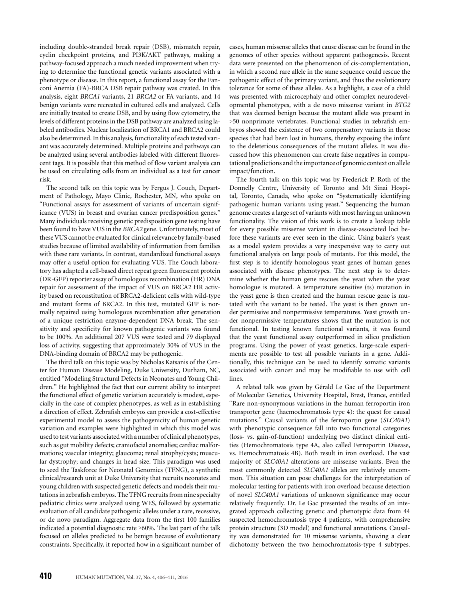including double-stranded break repair (DSB), mismatch repair, cyclin checkpoint proteins, and PI3K/AKT pathways, making a pathway-focused approach a much needed improvement when trying to determine the functional genetic variants associated with a phenotype or disease. In this report, a functional assay for the Fanconi Anemia (FA)-BRCA DSB repair pathway was created. In this analysis, eight *BRCA1* variants, 21 *BRCA2* or FA variants, and 14 benign variants were recreated in cultured cells and analyzed. Cells are initially treated to create DSB, and by using flow cytometry, the levels of different proteins in the DSB pathway are analyzed using labeled antibodies. Nuclear localization of BRCA1 and BRCA2 could also be determined. In this analysis, functionality of each tested variant was accurately determined. Multiple proteins and pathways can be analyzed using several antibodies labeled with different fluorescent tags. It is possible that this method of flow variant analysis can be used on circulating cells from an individual as a test for cancer risk.

The second talk on this topic was by Fergus J. Couch, Department of Pathology, Mayo Clinic, Rochester, MN, who spoke on "Functional assays for assessment of variants of uncertain significance (VUS) in breast and ovarian cancer predisposition genes." Many individuals receiving genetic predisposition gene testing have been found to have VUS in the *BRCA2* gene. Unfortunately, most of these VUS cannot be evaluated for clinical relevance by family-based studies because of limited availability of information from families with these rare variants. In contrast, standardized functional assays may offer a useful option for evaluating VUS. The Couch laboratory has adapted a cell-based direct repeat green fluorescent protein (DR*-*GFP) reporter assay of homologous recombination (HR) DNA repair for assessment of the impact of VUS on BRCA2 HR activity based on reconstitution of BRCA2-deficient cells with wild-type and mutant forms of BRCA2. In this test, mutated GFP is normally repaired using homologous recombination after generation of a unique restriction enzyme-dependent DNA break. The sensitivity and specificity for known pathogenic variants was found to be 100%. An additional 207 VUS were tested and 79 displayed loss of activity, suggesting that approximately 30% of VUS in the DNA-binding domain of BRCA2 may be pathogenic.

The third talk on this topic was by Nicholas Katsanis of the Center for Human Disease Modeling, Duke University, Durham, NC, entitled "Modeling Structural Defects in Neonates and Young Children." He highlighted the fact that our current ability to interpret the functional effect of genetic variation accurately is modest, especially in the case of complex phenotypes, as well as in establishing a direction of effect. Zebrafish embryos can provide a cost-effective experimental model to assess the pathogenicity of human genetic variation and examples were highlighted in which this model was used to test variants associated with a number of clinical phenotypes, such as gut mobility defects; craniofacial anomalies; cardiac malformations; vascular integrity; glaucoma; renal atrophy/cysts; muscular dystrophy; and changes in head size. This paradigm was used to seed the Taskforce for Neonatal Genomics (TFNG), a synthetic clinical/research unit at Duke University that recruits neonates and young children with suspected genetic defects and models their mutations in zebrafish embryos. The TFNG recruits from nine specialty pediatric clinics were analyzed using WES, followed by systematic evaluation of all candidate pathogenic alleles under a rare, recessive, or de novo paradigm. Aggregate data from the first 100 families indicated a potential diagnostic rate >60%. The last part of the talk focused on alleles predicted to be benign because of evolutionary constraints. Specifically, it reported how in a significant number of cases, human missense alleles that cause disease can be found in the genomes of other species without apparent pathogenesis. Recent data were presented on the phenomenon of cis-complementation, in which a second rare allele in the same sequence could rescue the pathogenic effect of the primary variant, and thus the evolutionary tolerance for some of these alleles. As a highlight, a case of a child was presented with microcephaly and other complex neurodevelopmental phenotypes, with a de novo missense variant in *BTG2* that was deemed benign because the mutant allele was present in >50 nonprimate vertebrates. Functional studies in zebrafish embryos showed the existence of two compensatory variants in those species that had been lost in humans, thereby exposing the infant to the deleterious consequences of the mutant alleles. It was discussed how this phenomenon can create false negatives in computational predictions and the importance of genomic context on allele impact/function.

The fourth talk on this topic was by Frederick P. Roth of the Donnelly Centre, University of Toronto and Mt Sinai Hospital, Toronto, Canada, who spoke on "Systematically identifying pathogenic human variants using yeast." Sequencing the human genome creates a large set of variants with most having an unknown functionality. The vision of this work is to create a lookup table for every possible missense variant in disease-associated loci before these variants are ever seen in the clinic. Using baker's yeast as a model system provides a very inexpensive way to carry out functional analysis on large pools of mutants. For this model, the first step is to identify homologous yeast genes of human genes associated with disease phenotypes. The next step is to determine whether the human gene rescues the yeast when the yeast homologue is mutated. A temperature sensitive (ts) mutation in the yeast gene is then created and the human rescue gene is mutated with the variant to be tested. The yeast is then grown under permissive and nonpermissive temperatures. Yeast growth under nonpermissive temperatures shows that the mutation is not functional. In testing known functional variants, it was found that the yeast functional assay outperformed in silico prediction programs. Using the power of yeast genetics, large-scale experiments are possible to test all possible variants in a gene. Additionally, this technique can be used to identify somatic variants associated with cancer and may be modifiable to use with cell lines.

A related talk was given by Gérald Le Gac of the Department of Molecular Genetics, University Hospital, Brest, France, entitled "Rare non-synonymous variations in the human ferroportin iron transporter gene (haemochromatosis type 4): the quest for causal mutations." Causal variants of the ferroportin gene (*SLC40A1*) with phenotypic consequence fall into two functional categories (loss- vs. gain-of-function) underlying two distinct clinical entities (Hemochromatosis type 4A, also called Ferroportin Disease, vs. Hemochromatosis 4B). Both result in iron overload. The vast majority of *SLC40A1* alterations are missense variants. Even the most commonly detected *SLC40A1* alleles are relatively uncommon. This situation can pose challenges for the interpretation of molecular testing for patients with iron overload because detection of novel *SLC40A1* variations of unknown significance may occur relatively frequently. Dr. Le Gac presented the results of an integrated approach collecting genetic and phenotypic data from 44 suspected hemochromatosis type 4 patients, with comprehensive protein structure (3D model) and functional annotations. Causality was demonstrated for 10 missense variants, showing a clear dichotomy between the two hemochromatosis-type 4 subtypes.